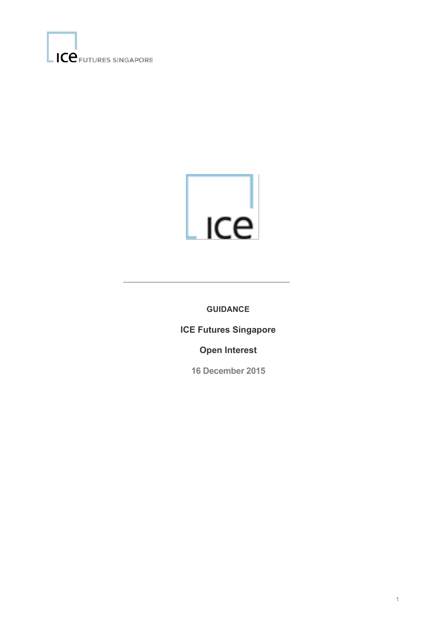



**GUIDANCE**

**ICE Futures Singapore** 

**Open Interest** 

**16 December 2015**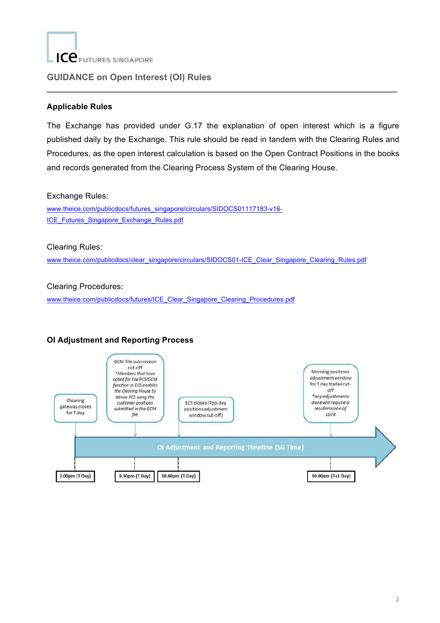

### **GUIDANCE on Open Interest (OI) Rules**

### **Applicable Rules**

The Exchange has provided under G.17 the explanation of open interest which is a figure published daily by the Exchange. This rule should be read in tandem with the Clearing Rules and Procedures, as the open interest calculation is based on the Open Contract Positions in the books and records generated from the Clearing Process System of the Clearing House.

 $\_$ 

#### Exchange Rules:

www.theice.com/publicdocs/futures\_singapore/circulars/SIDOCS01117183-v16- ICE\_Futures\_Singapore\_Exchange\_Rules.pdf

#### Clearing Rules:

www.theice.com/publicdocs/clear\_singapore/circulars/SIDOCS01-ICE\_Clear\_Singapore\_Clearing\_Rules.pdf

#### Clearing Procedures:

www.theice.com/publicdocs/futures/ICE\_Clear\_Singapore\_Clearing\_Procedures.pdf

## **OI Adjustment and Reporting Process**

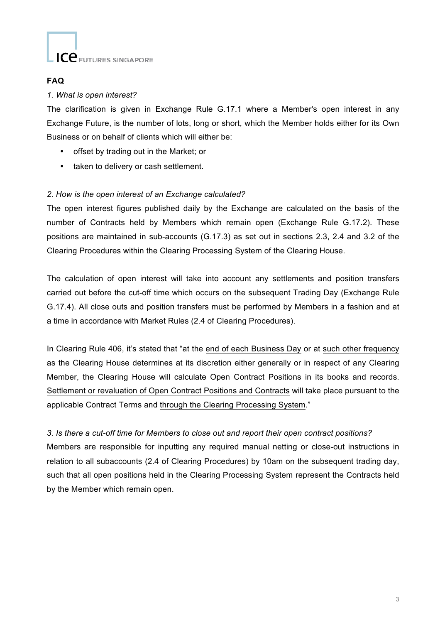

### **FAQ**

#### *1. What is open interest?*

The clarification is given in Exchange Rule G.17.1 where a Member's open interest in any Exchange Future, is the number of lots, long or short, which the Member holds either for its Own Business or on behalf of clients which will either be:

- offset by trading out in the Market; or
- taken to delivery or cash settlement.

### *2. How is the open interest of an Exchange calculated?*

The open interest figures published daily by the Exchange are calculated on the basis of the number of Contracts held by Members which remain open (Exchange Rule G.17.2). These positions are maintained in sub-accounts (G.17.3) as set out in sections 2.3, 2.4 and 3.2 of the Clearing Procedures within the Clearing Processing System of the Clearing House.

The calculation of open interest will take into account any settlements and position transfers carried out before the cut-off time which occurs on the subsequent Trading Day (Exchange Rule G.17.4). All close outs and position transfers must be performed by Members in a fashion and at a time in accordance with Market Rules (2.4 of Clearing Procedures).

In Clearing Rule 406, it's stated that "at the end of each Business Day or at such other frequency as the Clearing House determines at its discretion either generally or in respect of any Clearing Member, the Clearing House will calculate Open Contract Positions in its books and records. Settlement or revaluation of Open Contract Positions and Contracts will take place pursuant to the applicable Contract Terms and through the Clearing Processing System."

#### *3. Is there a cut-off time for Members to close out and report their open contract positions?*

Members are responsible for inputting any required manual netting or close-out instructions in relation to all subaccounts (2.4 of Clearing Procedures) by 10am on the subsequent trading day, such that all open positions held in the Clearing Processing System represent the Contracts held by the Member which remain open.